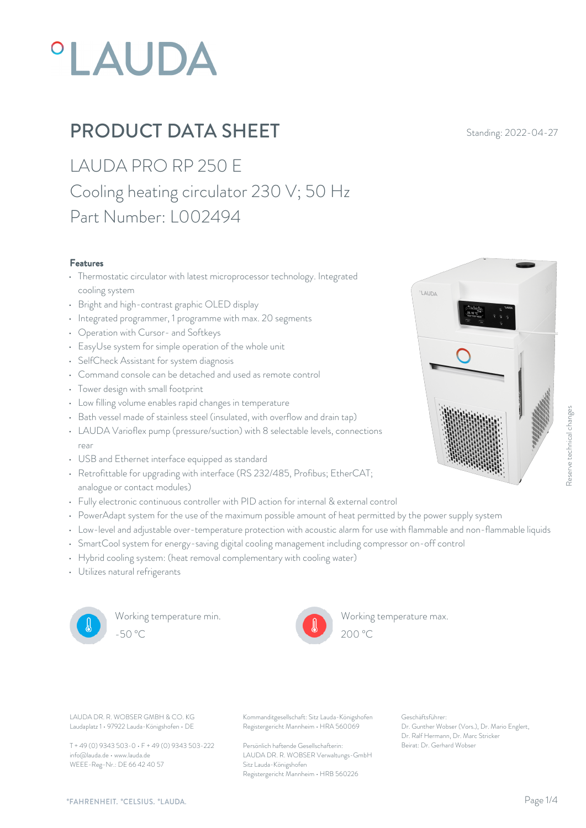# **°LAUDA**

## **PRODUCT DATA SHEET** Standing: 2022-04-27

LAUDA PRO RP 250 E Cooling heating circulator 230 V; 50 Hz Part Number: L002494

#### Features

- Thermostatic circulator with latest microprocessor technology. Integrated cooling system
- Bright and high-contrast graphic OLED display
- Integrated programmer, 1 programme with max. 20 segments
- Operation with Cursor- and Softkeys
- EasyUse system for simple operation of the whole unit
- SelfCheck Assistant for system diagnosis
- Command console can be detached and used as remote control
- Tower design with small footprint
- Low filling volume enables rapid changes in temperature
- Bath vessel made of stainless steel (insulated, with overflow and drain tap)
- LAUDA Varioflex pump (pressure/suction) with 8 selectable levels, connections rear and the contract of the contract of the contract of the contract of the contract of the contract of the contract of the contract of the contract of the contract of the contract of the contract of the contract of the c
- USB and Ethernet interface equipped as standard
- Retrofittable for upgrading with interface (RS 232/485, Profibus; EtherCAT; analogue or contact modules)
- Fully electronic continuous controller with PID action for internal & external control
- PowerAdapt system for the use of the maximum possible amount of heat permitted by the power supply system
- Low-level and adjustable over-temperature protection with acoustic alarm for use with flammable and non-flammable liquids
- SmartCool system for energy-saving digital cooling management including compressor on-off control
- Hybrid cooling system: (heat removal complementary with cooling water)
- Utilizes natural refrigerants



Working temperature min.



Working temperature max.



LAUDA



Laudaplatz 1 • 97922 Lauda-Königshofen • DE

T + 49 (0) 9343 503-0 • F + 49 (0) 9343 503-222 info@lauda.de • www.lauda.de WEEE-Reg-Nr.: DE 66 42 40 57

LAUDA DR. R. WOBSER GMBH & CO. KG Kommanditgesellschaft: Sitz Lauda-Königshofen Geschäftsführer: Registergericht Mannheim • HRA 560069

> Persönlich haftende Gesellschafterin: Beirat: Dr. Gerhard Wobse LAUDA DR. R. WOBSER Verwaltungs-GmbH Sitz Lauda-Königshofen Registergericht Mannheim • HRB 560226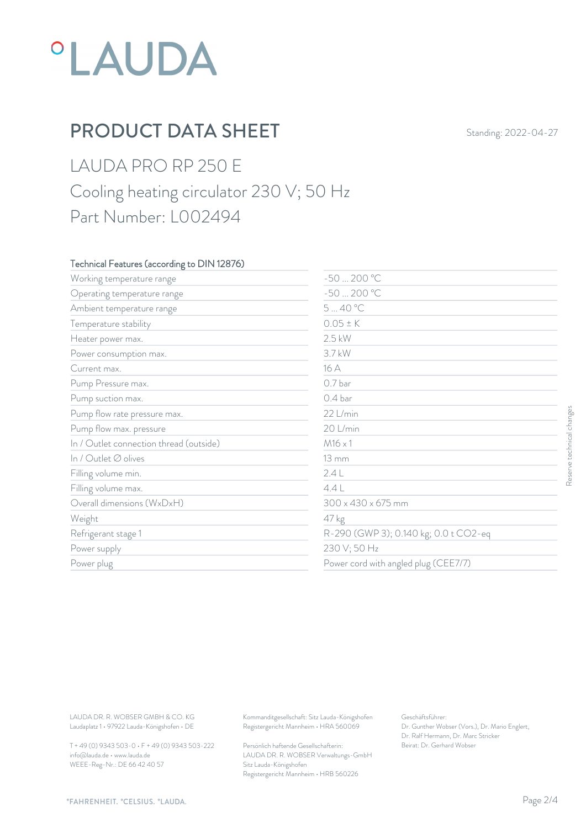## *°LAUDA*

## PRODUCT DATA SHEET Standing: 2022-04-27

### LAUDA PRO RP 250 E Cooling heating circulator 230 V; 50 Hz Part Number: L002494

#### Technical Features (according to DIN 12876)

| Working temperature range                                                        | $-50200 °C$                                                                            |                                                                                                           |                           |  |
|----------------------------------------------------------------------------------|----------------------------------------------------------------------------------------|-----------------------------------------------------------------------------------------------------------|---------------------------|--|
| Operating temperature range                                                      | $-50200 °C$                                                                            |                                                                                                           |                           |  |
| Ambient temperature range                                                        | 540 °C                                                                                 |                                                                                                           |                           |  |
| Temperature stability                                                            | $0.05 \pm K$                                                                           |                                                                                                           |                           |  |
| Heater power max.                                                                | $2.5$ kW                                                                               |                                                                                                           |                           |  |
| Power consumption max.                                                           | 3.7 kW                                                                                 |                                                                                                           |                           |  |
| Current max.                                                                     | 16 A                                                                                   |                                                                                                           |                           |  |
| Pump Pressure max.                                                               | 0.7 bar                                                                                |                                                                                                           |                           |  |
| Pump suction max.                                                                | 0.4 <sub>bar</sub>                                                                     |                                                                                                           |                           |  |
| Pump flow rate pressure max.                                                     | 22 L/min                                                                               |                                                                                                           |                           |  |
| Pump flow max. pressure                                                          | 20 L/min                                                                               |                                                                                                           | Reserve technical changes |  |
| In / Outlet connection thread (outside)                                          | $M16 \times 1$                                                                         |                                                                                                           |                           |  |
| In / Outlet Ø olives                                                             | <b>13 mm</b>                                                                           |                                                                                                           |                           |  |
| Filling volume min.                                                              | 2.4L                                                                                   |                                                                                                           |                           |  |
| Filling volume max.                                                              | 4.4L                                                                                   |                                                                                                           |                           |  |
| Overall dimensions (WxDxH)                                                       | $300 \times 430 \times 675$ mm                                                         |                                                                                                           |                           |  |
| Weight                                                                           | 47 kg                                                                                  |                                                                                                           |                           |  |
| Refrigerant stage 1                                                              |                                                                                        | R-290 (GWP 3); 0.140 kg; 0.0 t CO2-eq                                                                     |                           |  |
| Power supply                                                                     | 230 V; 50 Hz                                                                           |                                                                                                           |                           |  |
| Power plug                                                                       |                                                                                        | Power cord with angled plug (CEE7/7)                                                                      |                           |  |
|                                                                                  |                                                                                        |                                                                                                           |                           |  |
| LAUDA DR. R. WOBSER GMBH & CO. KG<br>Laudaplatz 1 · 97922 Lauda-Königshofen · DE | Kommanditgesellschaft: Sitz Lauda-Königshofen<br>Registergericht Mannheim · HRA 560069 | Geschäftsführer:<br>Dr. Gunther Wobser (Vors.), Dr. Mario Englert,<br>Dr. Ralf Hermann, Dr. Marc Stricker |                           |  |
| T + 49 (0) 9343 503-0 · F + 49 (0) 9343 503-222                                  | Persönlich haftende Gesellschafterin:                                                  | Beirat: Dr. Gerhard Wobser                                                                                |                           |  |

T + 49 (0) 9343 503-0 • F + 49 (0) 9343 503-222 info@lauda.de • www.lauda.de WEEE-Reg-Nr.: DE 66 42 40 57

> Persönlich haftende Gesellschafterin: Beirat: Dr. Gerhard Wobse LAUDA DR. R. WOBSER Verwaltungs-GmbH Sitz Lauda-Königshofen Registergericht Mannheim • HRB 560226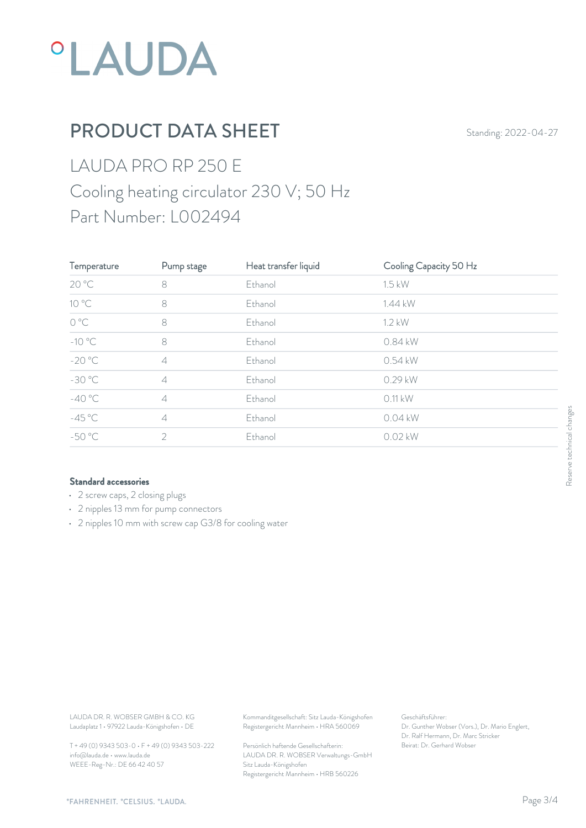

## PRODUCT DATA SHEET Standing: 2022-04-27

## LAUDA PRO RP 250 E Cooling heating circulator 230 V; 50 Hz Part Number: L002494

| Temperature     | Pump stage     | Heat transfer liquid | Cooling Capacity 50 Hz |                           |
|-----------------|----------------|----------------------|------------------------|---------------------------|
| 20 °C           | $\,8\,$        | Ethanol              | $1.5$ kW               |                           |
| $10^{\circ}$ C  | 8              | Ethanol              | 1.44 kW                |                           |
| $O^{\circ}C$    | 8              | Ethanol              | 1.2 kW                 |                           |
| $-10\text{ °C}$ | 8              | Ethanol              | 0.84 kW                |                           |
| $-20 °C$        | $\varDelta$    | Ethanol              | 0.54 kW                |                           |
| $-30 °C$        | $\varDelta$    | Ethanol              | 0.29 kW                |                           |
| $-40 °C$        | $\varDelta$    | Ethanol              | $0.11$ kW              |                           |
| $-45^{\circ}$ C | $\varDelta$    | Ethanol              | 0.04 kW                | Reserve technical changes |
| $-50 °C$        | $\overline{2}$ | Ethanol              | $0.02$ kW              |                           |
|                 |                |                      |                        |                           |
|                 |                |                      |                        |                           |

#### Standard accessories

- 2 screw caps, 2 closing plugs
- 2 nipples 13 mm for pump connectors
- 2 nipples 10 mm with screw cap G3/8 for cooling water

T + 49 (0) 9343 503-0 • F + 49 (0) 9343 503-222 info@lauda.de • www.lauda.de WEEE-Reg-Nr.: DE 66 42 40 57

> Persönlich haftende Gesellschafterin: Beirat: Dr. Gerhard Wobse LAUDA DR. R. WOBSER Verwaltungs-GmbH Sitz Lauda-Königshofen Registergericht Mannheim • HRB 560226